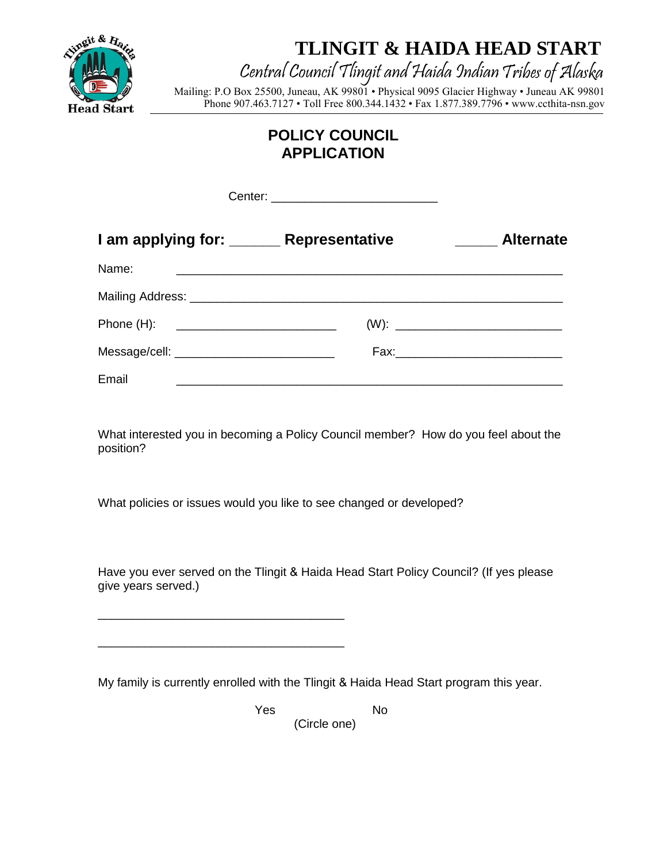

**TLINGIT & HAIDA HEAD START** 

## Central Council Tlingit and Haida IndianTribes of Alaska

Mailing: P.O Box 25500, Juneau, AK 99801 • Physical 9095 Glacier Highway • Juneau AK 99801 Phone 907.463.7127 • Toll Free 800.344.1432 • Fax 1.877.389.7796 • www.ccthita-nsn.gov

## **POLICY COUNCIL APPLICATION**

| I am applying for: ______ Representative   |                                                           | <b>Alternate</b><br><u>and the state</u> |
|--------------------------------------------|-----------------------------------------------------------|------------------------------------------|
| Name:                                      | <u> 1989 - John Stone, Amerikaansk politiker (* 1918)</u> |                                          |
|                                            |                                                           |                                          |
| Phone (H): ______________________________  |                                                           |                                          |
| Message/cell: ____________________________ |                                                           |                                          |
| Email                                      |                                                           |                                          |

What interested you in becoming a Policy Council member? How do you feel about the position?

What policies or issues would you like to see changed or developed?

\_\_\_\_\_\_\_\_\_\_\_\_\_\_\_\_\_\_\_\_\_\_\_\_\_\_\_\_\_\_\_\_\_\_\_\_\_

\_\_\_\_\_\_\_\_\_\_\_\_\_\_\_\_\_\_\_\_\_\_\_\_\_\_\_\_\_\_\_\_\_\_\_\_\_

Have you ever served on the Tlingit & Haida Head Start Policy Council? (If yes please give years served.)

My family is currently enrolled with the Tlingit & Haida Head Start program this year.

Yes No

(Circle one)